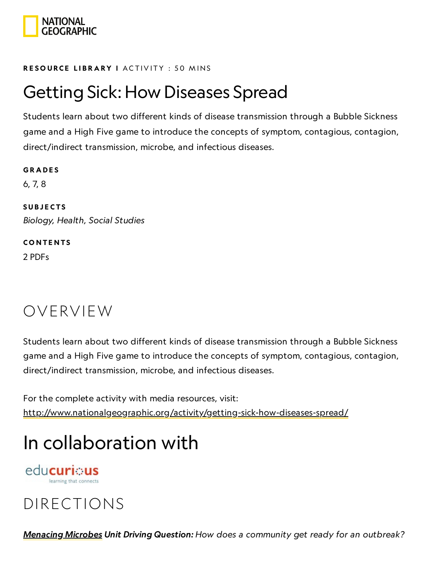

#### RESOURCE LIBRA[RY](https://www.nationalgeographic.org/education/resource-library/) I ACTIVITY : 50 MINS

### Getting Sick: How Diseases Spread

Students learn about two different kinds of disease transmission through a Bubble Sickness game and a High Five game to introduce the concepts of symptom, contagious, contagion, direct/indirect transmission, microbe, and infectious diseases.

**GRADES** 6, 7, 8 **SUBJECTS** Biology, Health, Social Studies **CONTENTS** 

2 PDFs

### OVERVIEW

Students learn about two different kinds of disease transmission through a Bubble Sickness game and a High Five game to introduce the concepts of symptom, contagious, contagion, direct/indirect transmission, microbe, and infectious diseases.

For the complete activity with media resources, visit: <http://www.nationalgeographic.org/activity/getting-sick-how-diseases-spread/>

## In collaboration with

educurious

### DIRECTIONS

[Menacing](https://www.nationalgeographic.org/unit/menacing-microbes/) Microbes Unit Driving Question: How does a community get ready for an outbreak?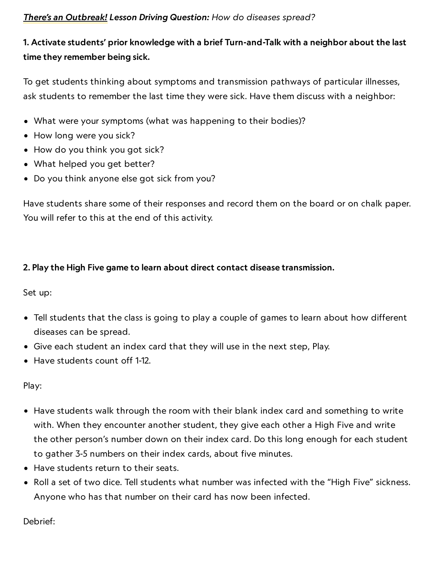#### There's an [Outbreak!](https://www.nationalgeographic.org/lesson/theres-outbreak/) Lesson Driving Question: How do diseases spread?

### 1. Activate students' prior knowledge with a brief Turn-and-Talk with a neighbor about the last time they remember being sick.

To get students thinking about symptoms and transmission pathways of particular illnesses, ask students to remember the last time they were sick. Have them discuss with a neighbor:

- What were your symptoms (what was happening to their bodies)?
- How long were you sick?
- How do you think you got sick?
- What helped you get better?
- Do you think anyone else got sick from you?

Have students share some of their responses and record them on the board or on chalk paper. You will refer to this at the end of this activity.

#### 2. Play the High Five game to learn about direct contact disease transmission.

Set up:

- Tell students that the class is going to play a couple of games to learn about how different diseases can be spread.
- Give each student an index card that they will use in the next step, Play.
- Have students count off 1-12.

Play:

- Have students walk through the room with their blank index card and something to write with. When they encounter another student, they give each other a High Five and write the other person's number down on their index card. Do this long enough for each student to gather 3-5 numbers on their index cards, about five minutes.
- Have students return to their seats.
- Roll a set of two dice. Tell students what number was infected with the "High Five" sickness. Anyone who has that number on their card has now been infected.

Debrief: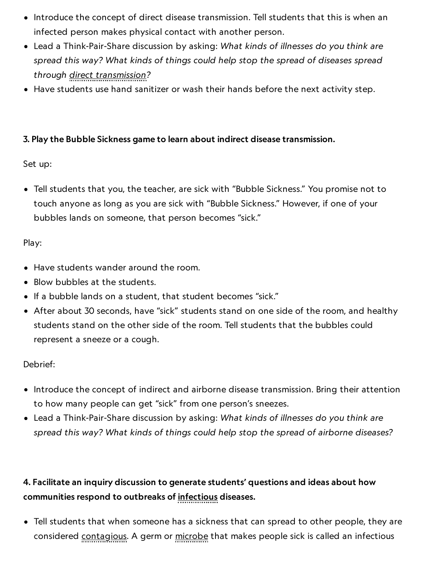- Introduce the concept of direct disease transmission. Tell students that this is when an infected person makes physical contact with another person.
- Lead a Think-Pair-Share discussion by asking: What kinds of illnesses do you think are spread this way? What kinds of things could help stop the spread of diseases spread through direct transmission?
- Have students use hand sanitizer or wash their hands before the next activity step.

### 3. Play the Bubble Sickness game to learn about indirect disease transmission.

#### Set up:

Tell students that you, the teacher, are sick with "Bubble Sickness." You promise not to touch anyone as long as you are sick with "Bubble Sickness." However, if one of your bubbles lands on someone, that person becomes "sick."

#### Play:

- Have students wander around the room.
- Blow bubbles at the students.
- If a bubble lands on a student, that student becomes "sick."
- After about 30 seconds, have "sick" students stand on one side of the room, and healthy students stand on the other side of the room. Tell students that the bubbles could represent a sneeze or a cough.

#### Debrief:

- Introduce the concept of indirect and airborne disease transmission. Bring their attention to how many people can get "sick" from one person's sneezes.
- Lead a Think-Pair-Share discussion by asking: What kinds of illnesses do you think are spread this way? What kinds of things could help stop the spread of airborne diseases?

### 4. Facilitate an inquiry discussion to generate students' questions and ideas about how communities respond to outbreaks of infectious diseases.

Tell students that when someone has a sickness that can spread to other people, they are considered contagious. A germ or microbe that makes people sick is called an infectious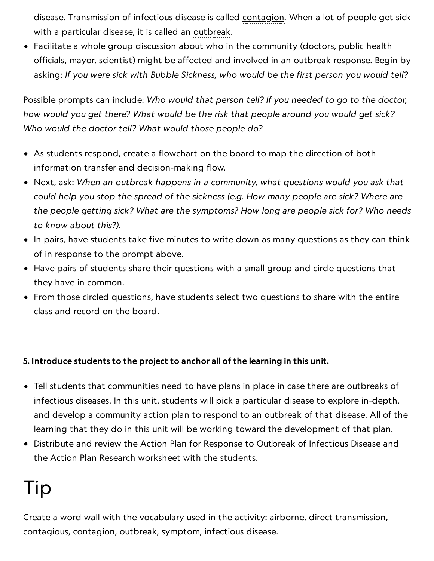disease. Transmission of infectious disease is called contagion. When a lot of people get sick with a particular disease, it is called an outbreak.

Facilitate a whole group discussion about who in the community (doctors, public health officials, mayor, scientist) might be affected and involved in an outbreak response. Begin by asking: If you were sick with Bubble Sickness, who would be the first person you would tell?

Possible prompts can include: Who would that person tell? If you needed to go to the doctor, how would you get there? What would be the risk that people around you would get sick? Who would the doctor tell? What would those people do?

- As students respond, create a flowchart on the board to map the direction of both information transfer and decision-making flow.
- Next, ask: When an outbreak happens in a community, what questions would you ask that could help you stop the spread of the sickness (e.g. How many people are sick? Where are the people getting sick? What are the symptoms? How long are people sick for? Who needs to know about this?).
- In pairs, have students take five minutes to write down as many questions as they can think of in response to the prompt above.
- Have pairs of students share their questions with a small group and circle questions that they have in common.
- From those circled questions, have students select two questions to share with the entire class and record on the board.

### 5. Introduce students to the project to anchor all of the learning in this unit.

- Tell students that communities need to have plans in place in case there are outbreaks of infectious diseases. In this unit, students will pick a particular disease to explore in-depth, and develop a community action plan to respond to an outbreak of that disease. All of the learning that they do in this unit will be working toward the development of that plan.
- Distribute and review the Action Plan for Response to Outbreak of Infectious Disease and the Action Plan Research worksheet with the students.

## Tip

Create a word wall with the vocabulary used in the activity: airborne, direct transmission, contagious, contagion, outbreak, symptom, infectious disease.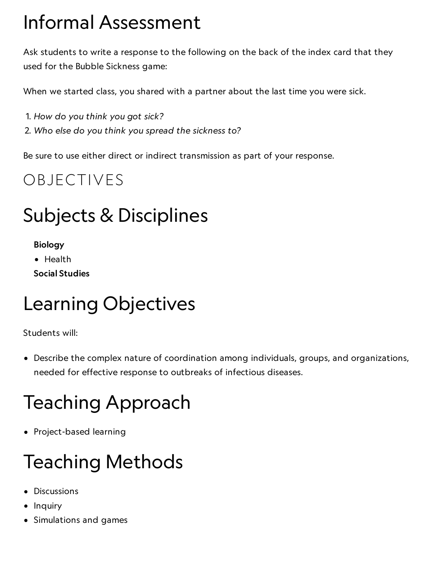# Informal Assessment

Ask students to write a response to the following on the back of the index card that they used for the Bubble Sickness game:

When we started class, you shared with a partner about the last time you were sick.

- 1. How do you think you got sick?
- 2. Who else do you think you spread the sickness to?

Be sure to use either direct or indirect transmission as part of your response.

### OBJECTIVES

## Subjects & Disciplines

- Biology
- Health
- Social Studies

## Learning Objectives

Students will:

Describe the complex nature of coordination among individuals, groups, and organizations, needed for effective response to outbreaks of infectious diseases.

# Teaching Approach

• Project-based learning

## Teaching Methods

- Discussions
- Inquiry
- Simulations and games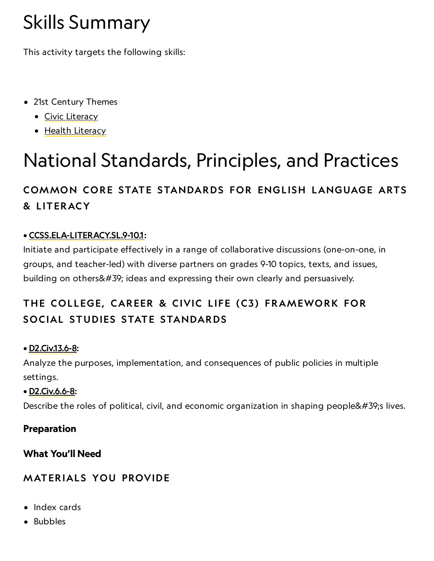# Skills Summary

This activity targets the following skills:

- 21st Century Themes
	- Civic [Literacy](http://www.p21.org/index.php?option=com_content&task=view&id=258&Itemid=120)
	- Health [Literacy](http://www.p21.org/index.php?option=com_content&task=view&id=259&Itemid=120)

# National Standards, Principles, and Practices

### COMMON CORE STATE STANDARDS FOR ENGLISH LANGUAGE ARTS & L ITERACY

### • [CCSS.ELA-LITERACY.SL.9-10.1:](http://www.corestandards.org/ELA-Literacy/SL/9-10/1/)

Initiate and participate effectively in a range of collaborative discussions (one-on-one, in groups, and teacher-led) with diverse partners on grades 9-10 topics, texts, and issues, building on others' ideas and expressing their own clearly and persuasively.

### THE COLLEGE, CAREER & CIVIC LIFE (C3) FRAMEWORK FOR SOCIAL STUDIES STATE STANDARDS

### • [D2.Civ.13.6-8](https://www.socialstudies.org/sites/default/files/2017/Jun/c3-framework-for-social-studies-rev0617.pdf):

Analyze the purposes, implementation, and consequences of public policies in multiple settings.

### • [D2.Civ.6.6-8:](https://www.socialstudies.org/sites/default/files/2017/Jun/c3-framework-for-social-studies-rev0617.pdf)

Describe the roles of political, civil, and economic organization in shaping people's lives.

### Preparation

### What You'll Need

### **MATERIALS YOU PROVIDE**

- Index cards
- Bubbles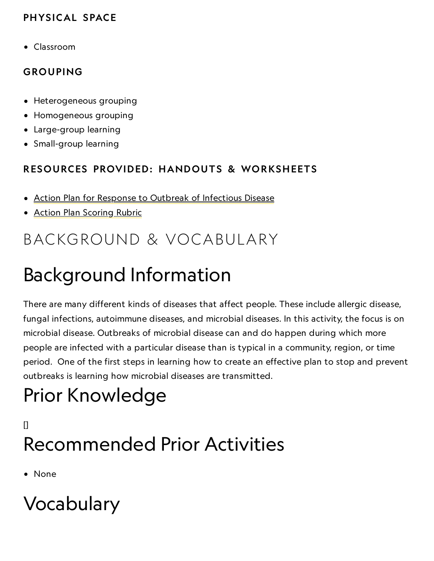### PHYSICAL SPACE

Classroom

### GROUPING

- Heterogeneous grouping
- Homogeneous grouping
- Large-group learning
- Small-group learning

### RESOURCES PROVIDED: HANDOUTS & WORKSHEETS

- Action Plan for Response to Outbreak of [Infectious](https://media.nationalgeographic.org/assets/file/ActionPlan.pdf) Disease
- Action Plan [Scoring](https://media.nationalgeographic.org/assets/file/ActionPlanRubric.pdf) Rubric

### BACKGROUND & VOCABULARY

## Background Information

There are many different kinds of diseases that affect people. These include allergic disease, fungal infections, autoimmune diseases, and microbial diseases. In this activity, the focus is on microbial disease. Outbreaks of microbial disease can and do happen during which more people are infected with a particular disease than is typical in a community, region, or time period. One of the first steps in learning how to create an effective plan to stop and prevent outbreaks is learning how microbial diseases are transmitted.

# Prior Knowledge

### $\mathsf{I}$ Recommended Prior Activities

• None

# Vocabulary